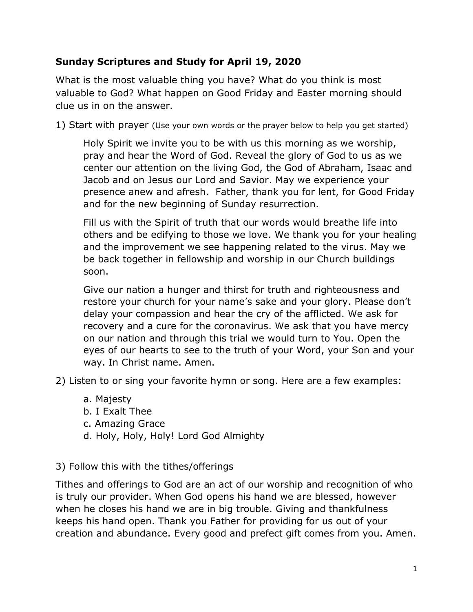## **Sunday Scriptures and Study for April 19, 2020**

What is the most valuable thing you have? What do you think is most valuable to God? What happen on Good Friday and Easter morning should clue us in on the answer.

1) Start with prayer (Use your own words or the prayer below to help you get started)

Holy Spirit we invite you to be with us this morning as we worship, pray and hear the Word of God. Reveal the glory of God to us as we center our attention on the living God, the God of Abraham, Isaac and Jacob and on Jesus our Lord and Savior. May we experience your presence anew and afresh. Father, thank you for lent, for Good Friday and for the new beginning of Sunday resurrection.

Fill us with the Spirit of truth that our words would breathe life into others and be edifying to those we love. We thank you for your healing and the improvement we see happening related to the virus. May we be back together in fellowship and worship in our Church buildings soon.

Give our nation a hunger and thirst for truth and righteousness and restore your church for your name's sake and your glory. Please don't delay your compassion and hear the cry of the afflicted. We ask for recovery and a cure for the coronavirus. We ask that you have mercy on our nation and through this trial we would turn to You. Open the eyes of our hearts to see to the truth of your Word, your Son and your way. In Christ name. Amen.

2) Listen to or sing your favorite hymn or song. Here are a few examples:

- a. Majesty
- b. I Exalt Thee
- c. Amazing Grace
- d. Holy, Holy, Holy! Lord God Almighty

3) Follow this with the tithes/offerings

Tithes and offerings to God are an act of our worship and recognition of who is truly our provider. When God opens his hand we are blessed, however when he closes his hand we are in big trouble. Giving and thankfulness keeps his hand open. Thank you Father for providing for us out of your creation and abundance. Every good and prefect gift comes from you. Amen.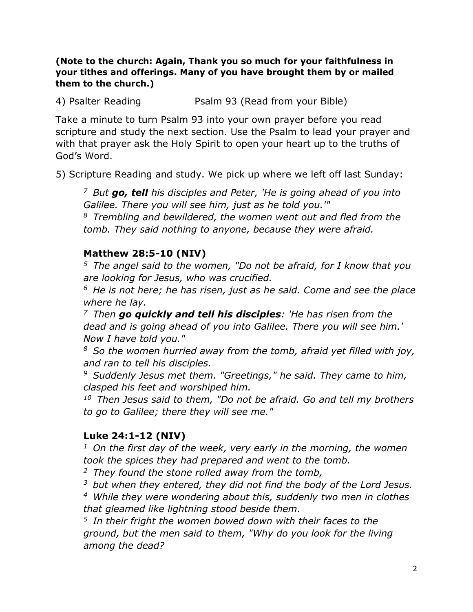#### **(Note to the church: Again, Thank you so much for your faithfulness in your tithes and offerings. Many of you have brought them by or mailed them to the church.)**

4) Psalter Reading **Paalm 93 (Read from your Bible)** 

Take a minute to turn Psalm 93 into your own prayer before you read scripture and study the next section. Use the Psalm to lead your prayer and with that prayer ask the Holy Spirit to open your heart up to the truths of God's Word.

5) Scripture Reading and study. We pick up where we left off last Sunday:

*<sup>7</sup>But go, tell his disciples and Peter, 'He is going ahead of you into Galilee. There you will see him, just as he told you.'"* 

*<sup>8</sup>Trembling and bewildered, the women went out and fled from the tomb. They said nothing to anyone, because they were afraid.* 

## **Matthew 28:5-10 (NIV)**

*<sup>5</sup>The angel said to the women, "Do not be afraid, for I know that you are looking for Jesus, who was crucified.* 

*<sup>6</sup>He is not here; he has risen, just as he said. Come and see the place where he lay.* 

*<sup>7</sup>Then go quickly and tell his disciples: 'He has risen from the dead and is going ahead of you into Galilee. There you will see him.' Now I have told you."* 

*<sup>8</sup>So the women hurried away from the tomb, afraid yet filled with joy, and ran to tell his disciples.* 

*<sup>9</sup>Suddenly Jesus met them. "Greetings," he said. They came to him, clasped his feet and worshiped him.* 

*<sup>10</sup>Then Jesus said to them, "Do not be afraid. Go and tell my brothers to go to Galilee; there they will see me."*

## **Luke 24:1-12 (NIV)**

*<sup>1</sup>On the first day of the week, very early in the morning, the women took the spices they had prepared and went to the tomb.* 

*<sup>2</sup>They found the stone rolled away from the tomb,* 

*<sup>3</sup>but when they entered, they did not find the body of the Lord Jesus.* 

*<sup>4</sup>While they were wondering about this, suddenly two men in clothes that gleamed like lightning stood beside them.* 

*<sup>5</sup>In their fright the women bowed down with their faces to the ground, but the men said to them, "Why do you look for the living among the dead?*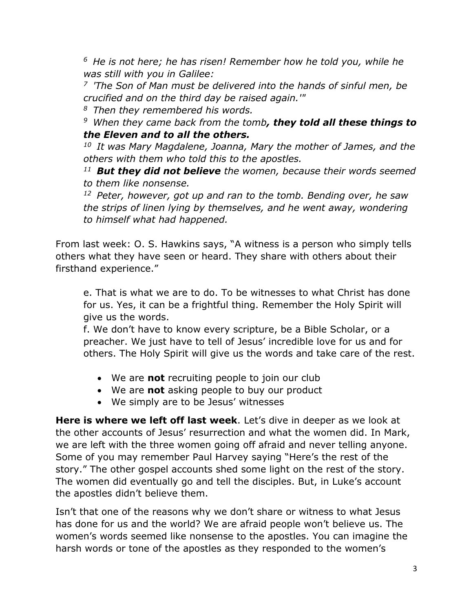*<sup>6</sup> He is not here; he has risen! Remember how he told you, while he was still with you in Galilee:* 

*<sup>7</sup>'The Son of Man must be delivered into the hands of sinful men, be crucified and on the third day be raised again.'"* 

*<sup>8</sup>Then they remembered his words.* 

*<sup>9</sup>When they came back from the tomb, they told all these things to the Eleven and to all the others.* 

*<sup>10</sup>It was Mary Magdalene, Joanna, Mary the mother of James, and the others with them who told this to the apostles.* 

*<sup>11</sup>But they did not believe the women, because their words seemed to them like nonsense.* 

*<sup>12</sup>Peter, however, got up and ran to the tomb. Bending over, he saw the strips of linen lying by themselves, and he went away, wondering to himself what had happened.* 

From last week: O. S. Hawkins says, "A witness is a person who simply tells others what they have seen or heard. They share with others about their firsthand experience."

e. That is what we are to do. To be witnesses to what Christ has done for us. Yes, it can be a frightful thing. Remember the Holy Spirit will give us the words.

f. We don't have to know every scripture, be a Bible Scholar, or a preacher. We just have to tell of Jesus' incredible love for us and for others. The Holy Spirit will give us the words and take care of the rest.

- We are **not** recruiting people to join our club
- We are **not** asking people to buy our product
- We simply are to be Jesus' witnesses

**Here is where we left off last week**. Let's dive in deeper as we look at the other accounts of Jesus' resurrection and what the women did. In Mark, we are left with the three women going off afraid and never telling anyone. Some of you may remember Paul Harvey saying "Here's the rest of the story." The other gospel accounts shed some light on the rest of the story. The women did eventually go and tell the disciples. But, in Luke's account the apostles didn't believe them.

Isn't that one of the reasons why we don't share or witness to what Jesus has done for us and the world? We are afraid people won't believe us. The women's words seemed like nonsense to the apostles. You can imagine the harsh words or tone of the apostles as they responded to the women's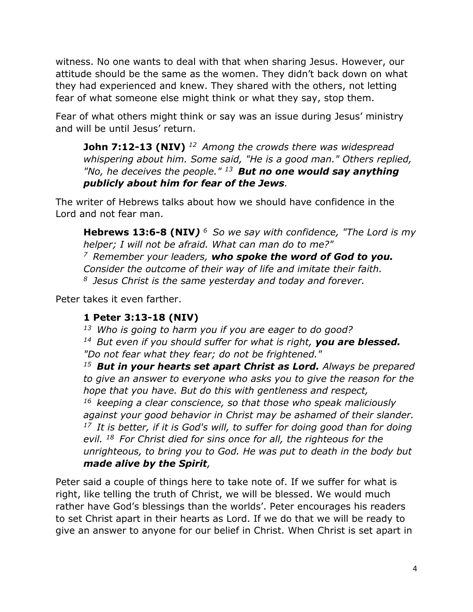witness. No one wants to deal with that when sharing Jesus. However, our attitude should be the same as the women. They didn't back down on what they had experienced and knew. They shared with the others, not letting fear of what someone else might think or what they say, stop them.

Fear of what others might think or say was an issue during Jesus' ministry and will be until Jesus' return.

**John 7:12-13 (NIV)** *<sup>12</sup>Among the crowds there was widespread whispering about him. Some said, "He is a good man." Others replied, "No, he deceives the people." <sup>13</sup>But no one would say anything publicly about him for fear of the Jews.*

The writer of Hebrews talks about how we should have confidence in the Lord and not fear man.

**Hebrews 13:6-8 (NIV***) <sup>6</sup>So we say with confidence, "The Lord is my helper; I will not be afraid. What can man do to me?" <sup>7</sup>Remember your leaders, who spoke the word of God to you. Consider the outcome of their way of life and imitate their faith. <sup>8</sup>Jesus Christ is the same yesterday and today and forever.* 

Peter takes it even farther.

## **1 Peter 3:13-18 (NIV)**

*<sup>13</sup>Who is going to harm you if you are eager to do good? <sup>14</sup>But even if you should suffer for what is right, you are blessed. "Do not fear what they fear; do not be frightened."* 

*<sup>15</sup>But in your hearts set apart Christ as Lord. Always be prepared to give an answer to everyone who asks you to give the reason for the hope that you have. But do this with gentleness and respect, <sup>16</sup>keeping a clear conscience, so that those who speak maliciously against your good behavior in Christ may be ashamed of their slander. <sup>17</sup>It is better, if it is God's will, to suffer for doing good than for doing evil. <sup>18</sup>For Christ died for sins once for all, the righteous for the unrighteous, to bring you to God. He was put to death in the body but made alive by the Spirit,*

Peter said a couple of things here to take note of. If we suffer for what is right, like telling the truth of Christ, we will be blessed. We would much rather have God's blessings than the worlds'. Peter encourages his readers to set Christ apart in their hearts as Lord. If we do that we will be ready to give an answer to anyone for our belief in Christ. When Christ is set apart in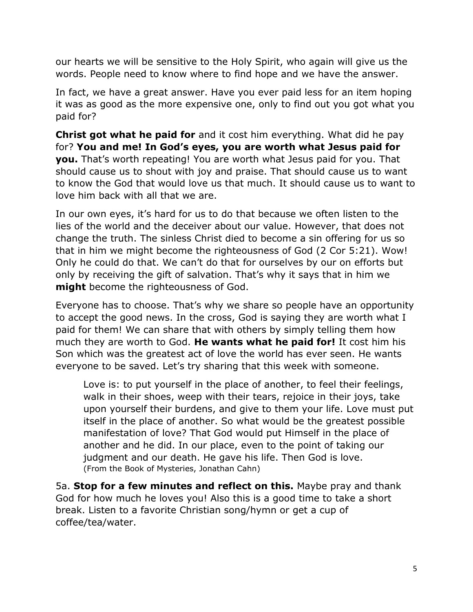our hearts we will be sensitive to the Holy Spirit, who again will give us the words. People need to know where to find hope and we have the answer.

In fact, we have a great answer. Have you ever paid less for an item hoping it was as good as the more expensive one, only to find out you got what you paid for?

**Christ got what he paid for** and it cost him everything. What did he pay for? **You and me! In God's eyes, you are worth what Jesus paid for you.** That's worth repeating! You are worth what Jesus paid for you. That should cause us to shout with joy and praise. That should cause us to want to know the God that would love us that much. It should cause us to want to love him back with all that we are.

In our own eyes, it's hard for us to do that because we often listen to the lies of the world and the deceiver about our value. However, that does not change the truth. The sinless Christ died to become a sin offering for us so that in him we might become the righteousness of God (2 Cor 5:21). Wow! Only he could do that. We can't do that for ourselves by our on efforts but only by receiving the gift of salvation. That's why it says that in him we **might** become the righteousness of God.

Everyone has to choose. That's why we share so people have an opportunity to accept the good news. In the cross, God is saying they are worth what I paid for them! We can share that with others by simply telling them how much they are worth to God. **He wants what he paid for!** It cost him his Son which was the greatest act of love the world has ever seen. He wants everyone to be saved. Let's try sharing that this week with someone.

Love is: to put yourself in the place of another, to feel their feelings, walk in their shoes, weep with their tears, rejoice in their joys, take upon yourself their burdens, and give to them your life. Love must put itself in the place of another. So what would be the greatest possible manifestation of love? That God would put Himself in the place of another and he did. In our place, even to the point of taking our judgment and our death. He gave his life. Then God is love. (From the Book of Mysteries, Jonathan Cahn)

5a. **Stop for a few minutes and reflect on this.** Maybe pray and thank God for how much he loves you! Also this is a good time to take a short break. Listen to a favorite Christian song/hymn or get a cup of coffee/tea/water.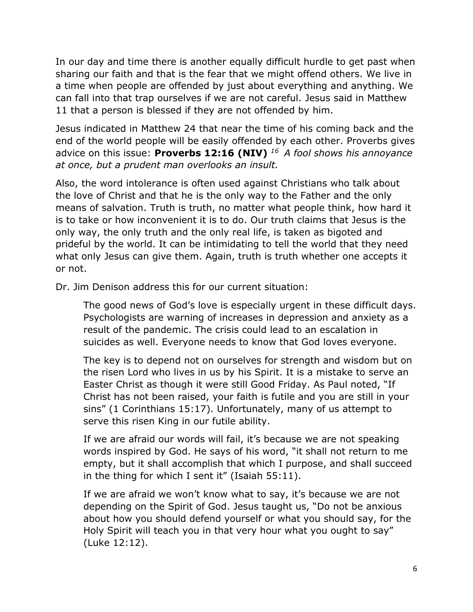In our day and time there is another equally difficult hurdle to get past when sharing our faith and that is the fear that we might offend others. We live in a time when people are offended by just about everything and anything. We can fall into that trap ourselves if we are not careful. Jesus said in Matthew 11 that a person is blessed if they are not offended by him.

Jesus indicated in Matthew 24 that near the time of his coming back and the end of the world people will be easily offended by each other. Proverbs gives advice on this issue: **Proverbs 12:16 (NIV)** *<sup>16</sup>A fool shows his annoyance at once, but a prudent man overlooks an insult.* 

Also, the word intolerance is often used against Christians who talk about the love of Christ and that he is the only way to the Father and the only means of salvation. Truth is truth, no matter what people think, how hard it is to take or how inconvenient it is to do. Our truth claims that Jesus is the only way, the only truth and the only real life, is taken as bigoted and prideful by the world. It can be intimidating to tell the world that they need what only Jesus can give them. Again, truth is truth whether one accepts it or not.

Dr. Jim Denison address this for our current situation:

The good news of God's love is especially urgent in these difficult days. Psychologists are warning of increases in depression and anxiety as a result of the pandemic. The crisis could lead to an escalation in suicides as well. Everyone needs to know that God loves everyone.

The key is to depend not on ourselves for strength and wisdom but on the risen Lord who lives in us by his Spirit. It is a mistake to serve an Easter Christ as though it were still Good Friday. As Paul noted, "If Christ has not been raised, your faith is futile and you are still in your sins" (1 Corinthians 15:17). Unfortunately, many of us attempt to serve this risen King in our futile ability.

If we are afraid our words will fail, it's because we are not speaking words inspired by God. He says of his word, "it shall not return to me empty, but it shall accomplish that which I purpose, and shall succeed in the thing for which I sent it" (Isaiah 55:11).

If we are afraid we won't know what to say, it's because we are not depending on the Spirit of God. Jesus taught us, "Do not be anxious about how you should defend yourself or what you should say, for the Holy Spirit will teach you in that very hour what you ought to say" (Luke 12:12).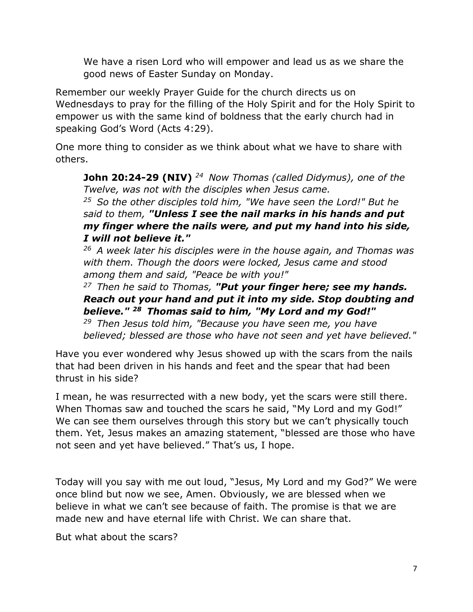We have a risen Lord who will empower and lead us as we share the good news of Easter Sunday on Monday.

Remember our weekly Prayer Guide for the church directs us on Wednesdays to pray for the filling of the Holy Spirit and for the Holy Spirit to empower us with the same kind of boldness that the early church had in speaking God's Word (Acts 4:29).

One more thing to consider as we think about what we have to share with others.

**John 20:24-29 (NIV)** *<sup>24</sup>Now Thomas (called Didymus), one of the Twelve, was not with the disciples when Jesus came.* 

*<sup>25</sup>So the other disciples told him, "We have seen the Lord!" But he said to them, "Unless I see the nail marks in his hands and put my finger where the nails were, and put my hand into his side, I will not believe it."* 

*<sup>26</sup>A week later his disciples were in the house again, and Thomas was with them. Though the doors were locked, Jesus came and stood among them and said, "Peace be with you!"* 

*<sup>27</sup>Then he said to Thomas, "Put your finger here; see my hands. Reach out your hand and put it into my side. Stop doubting and believe." <sup>28</sup>Thomas said to him, "My Lord and my God!"*

*<sup>29</sup>Then Jesus told him, "Because you have seen me, you have believed; blessed are those who have not seen and yet have believed."* 

Have you ever wondered why Jesus showed up with the scars from the nails that had been driven in his hands and feet and the spear that had been thrust in his side?

I mean, he was resurrected with a new body, yet the scars were still there. When Thomas saw and touched the scars he said, "My Lord and my God!" We can see them ourselves through this story but we can't physically touch them. Yet, Jesus makes an amazing statement, "blessed are those who have not seen and yet have believed." That's us, I hope.

Today will you say with me out loud, "Jesus, My Lord and my God?" We were once blind but now we see, Amen. Obviously, we are blessed when we believe in what we can't see because of faith. The promise is that we are made new and have eternal life with Christ. We can share that.

But what about the scars?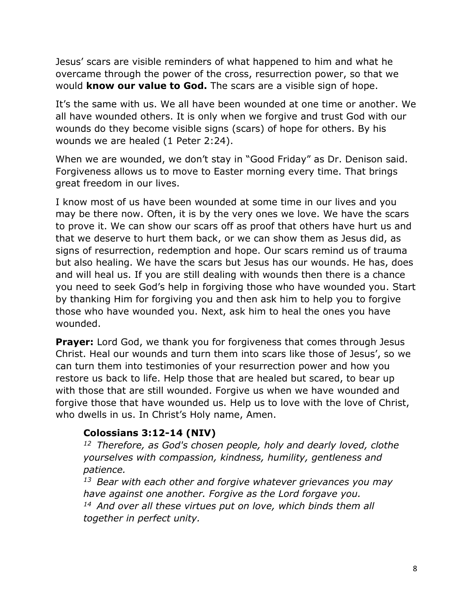Jesus' scars are visible reminders of what happened to him and what he overcame through the power of the cross, resurrection power, so that we would **know our value to God.** The scars are a visible sign of hope.

It's the same with us. We all have been wounded at one time or another. We all have wounded others. It is only when we forgive and trust God with our wounds do they become visible signs (scars) of hope for others. By his wounds we are healed (1 Peter 2:24).

When we are wounded, we don't stay in "Good Friday" as Dr. Denison said. Forgiveness allows us to move to Easter morning every time. That brings great freedom in our lives.

I know most of us have been wounded at some time in our lives and you may be there now. Often, it is by the very ones we love. We have the scars to prove it. We can show our scars off as proof that others have hurt us and that we deserve to hurt them back, or we can show them as Jesus did, as signs of resurrection, redemption and hope. Our scars remind us of trauma but also healing. We have the scars but Jesus has our wounds. He has, does and will heal us. If you are still dealing with wounds then there is a chance you need to seek God's help in forgiving those who have wounded you. Start by thanking Him for forgiving you and then ask him to help you to forgive those who have wounded you. Next, ask him to heal the ones you have wounded.

**Prayer:** Lord God, we thank you for forgiveness that comes through Jesus Christ. Heal our wounds and turn them into scars like those of Jesus', so we can turn them into testimonies of your resurrection power and how you restore us back to life. Help those that are healed but scared, to bear up with those that are still wounded. Forgive us when we have wounded and forgive those that have wounded us. Help us to love with the love of Christ, who dwells in us. In Christ's Holy name, Amen.

#### **Colossians 3:12-14 (NIV)**

*<sup>12</sup>Therefore, as God's chosen people, holy and dearly loved, clothe yourselves with compassion, kindness, humility, gentleness and patience.* 

*<sup>13</sup>Bear with each other and forgive whatever grievances you may have against one another. Forgive as the Lord forgave you. <sup>14</sup>And over all these virtues put on love, which binds them all together in perfect unity.*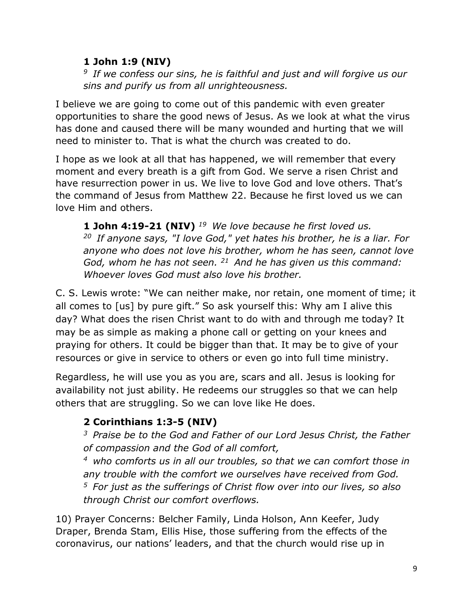### **1 John 1:9 (NIV)**

*<sup>9</sup>If we confess our sins, he is faithful and just and will forgive us our sins and purify us from all unrighteousness.*

I believe we are going to come out of this pandemic with even greater opportunities to share the good news of Jesus. As we look at what the virus has done and caused there will be many wounded and hurting that we will need to minister to. That is what the church was created to do.

I hope as we look at all that has happened, we will remember that every moment and every breath is a gift from God. We serve a risen Christ and have resurrection power in us. We live to love God and love others. That's the command of Jesus from Matthew 22. Because he first loved us we can love Him and others.

**1 John 4:19-21 (NIV)** *<sup>19</sup>We love because he first loved us. <sup>20</sup>If anyone says, "I love God," yet hates his brother, he is a liar. For anyone who does not love his brother, whom he has seen, cannot love God, whom he has not seen. <sup>21</sup>And he has given us this command: Whoever loves God must also love his brother.*

C. S. Lewis wrote: "We can neither make, nor retain, one moment of time; it all comes to [us] by pure gift." So ask yourself this: Why am I alive this day? What does the risen Christ want to do with and through me today? It may be as simple as making a phone call or getting on your knees and praying for others. It could be bigger than that. It may be to give of your resources or give in service to others or even go into full time ministry.

Regardless, he will use you as you are, scars and all. Jesus is looking for availability not just ability. He redeems our struggles so that we can help others that are struggling. So we can love like He does.

# **2 Corinthians 1:3-5 (NIV)**

*<sup>3</sup>Praise be to the God and Father of our Lord Jesus Christ, the Father of compassion and the God of all comfort,* 

*<sup>4</sup>who comforts us in all our troubles, so that we can comfort those in any trouble with the comfort we ourselves have received from God. <sup>5</sup>For just as the sufferings of Christ flow over into our lives, so also through Christ our comfort overflows.* 

10) Prayer Concerns: Belcher Family, Linda Holson, Ann Keefer, Judy Draper, Brenda Stam, Ellis Hise, those suffering from the effects of the coronavirus, our nations' leaders, and that the church would rise up in